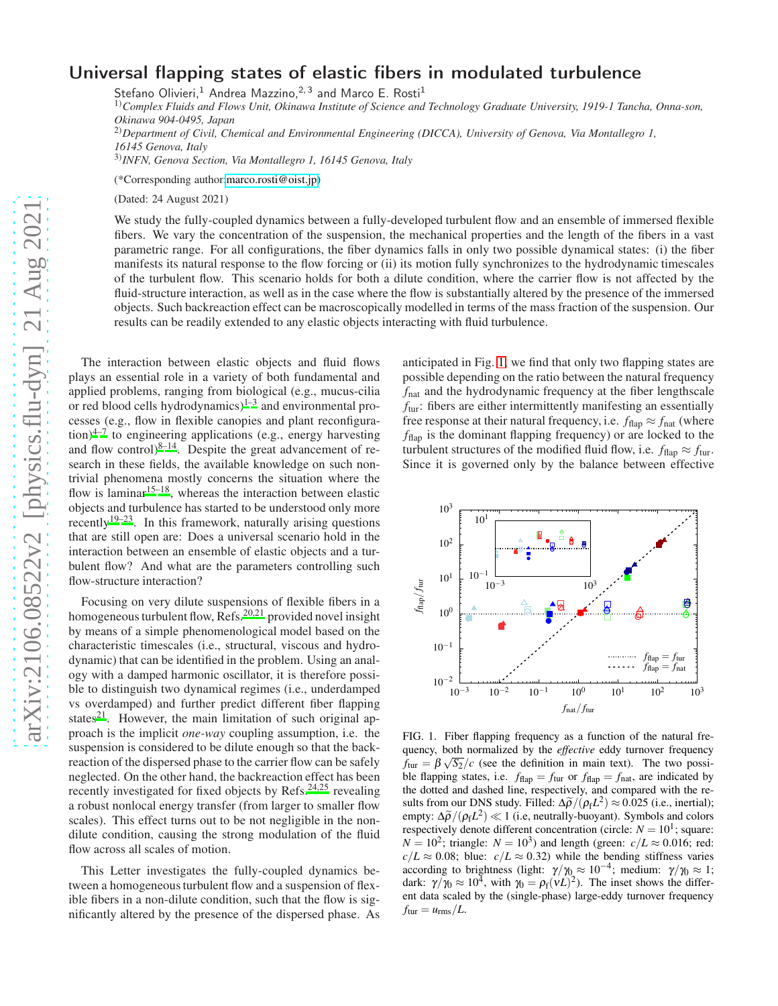## Universal flapping states of elastic fibers in modulated turbulence

Stefano Olivieri,<sup>1</sup> Andrea Mazzino,<sup>2,3</sup> and Marco E. Rosti<sup>1</sup>

1)*Complex Fluids and Flows Unit, Okinawa Institute of Science and Technology Graduate University, 1919-1 Tancha, Onna-son, Okinawa 904-0495, Japan*

2)*Department of Civil, Chemical and Environmental Engineering (DICCA), University of Genova, Via Montallegro 1, 16145 Genova, Italy*

3)*INFN, Genova Section, Via Montallegro 1, 16145 Genova, Italy*

(\*Corresponding author[:marco.rosti@oist.jp\)](mailto:marco.rosti@oist.jp)

(Dated: 24 August 2021)

We study the fully-coupled dynamics between a fully-developed turbulent flow and an ensemble of immersed flexible fibers. We vary the concentration of the suspension, the mechanical properties and the length of the fibers in a vast parametric range. For all configurations, the fiber dynamics falls in only two possible dynamical states: (i) the fiber manifests its natural response to the flow forcing or (ii) its motion fully synchronizes to the hydrodynamic timescales of the turbulent flow. This scenario holds for both a dilute condition, where the carrier flow is not affected by the fluid-structure interaction, as well as in the case where the flow is substantially altered by the presence of the immersed objects. Such backreaction effect can be macroscopically modelled in terms of the mass fraction of the suspension. Our results can be readily extended to any elastic objects interacting with fluid turbulence.

arXiv:2106.08522v2 [physics.flu-dyn] 21 Aug 2021 [arXiv:2106.08522v2 \[physics.flu-dyn\] 21 Aug 2021](http://arxiv.org/abs/2106.08522v2)

The interaction between elastic objects and fluid flows plays an essential role in a variety of both fundamental and applied problems, ranging from biological (e.g., mucus-cilia or red blood cells hydrodynamics) $1-3$  $1-3$  and environmental processes (e.g., flow in flexible canopies and plant reconfigura- $\frac{1}{2}$  to engineering applications (e.g., energy harvesting and flow control) $8-14$  $8-14$ . Despite the great advancement of research in these fields, the available knowledge on such nontrivial phenomena mostly concerns the situation where the flow is laminar<sup>[15](#page-4-4)[–18](#page-4-5)</sup>, whereas the interaction between elastic objects and turbulence has started to be understood only more recently<sup>[19](#page-4-6)[–23](#page-4-7)</sup>. In this framework, naturally arising questions that are still open are: Does a universal scenario hold in the interaction between an ensemble of elastic objects and a turbulent flow? And what are the parameters controlling such flow-structure interaction?

Focusing on very dilute suspensions of flexible fibers in a homogeneous turbulent flow, Refs.<sup>[20](#page-4-8)[,21](#page-4-9)</sup> provided novel insight by means of a simple phenomenological model based on the characteristic timescales (i.e., structural, viscous and hydrodynamic) that can be identified in the problem. Using an analogy with a damped harmonic oscillator, it is therefore possible to distinguish two dynamical regimes (i.e., underdamped vs overdamped) and further predict different fiber flapping states<sup>[21](#page-4-9)</sup>. However, the main limitation of such original approach is the implicit *one-way* coupling assumption, i.e. the suspension is considered to be dilute enough so that the backreaction of the dispersed phase to the carrier flow can be safely neglected. On the other hand, the backreaction effect has been recently investigated for fixed objects by Refs.[24](#page-4-10)[,25](#page-4-11) revealing a robust nonlocal energy transfer (from larger to smaller flow scales). This effect turns out to be not negligible in the nondilute condition, causing the strong modulation of the fluid flow across all scales of motion.

This Letter investigates the fully-coupled dynamics between a homogeneous turbulent flow and a suspension of flexible fibers in a non-dilute condition, such that the flow is significantly altered by the presence of the dispersed phase. As anticipated in Fig. [1,](#page-0-0) we find that only two flapping states are possible depending on the ratio between the natural frequency *f*<sub>nat</sub> and the hydrodynamic frequency at the fiber lengthscale *f*tur: fibers are either intermittently manifesting an essentially free response at their natural frequency, i.e.  $f_{\text{flap}} \approx f_{\text{nat}}$  (where *f*flap is the dominant flapping frequency) or are locked to the turbulent structures of the modified fluid flow, i.e.  $f_{\text{flap}} \approx f_{\text{tur}}$ . Since it is governed only by the balance between effective



<span id="page-0-0"></span>FIG. 1. Fiber flapping frequency as a function of the natural frequency, both normalized by the *effective* eddy turnover frequency  $f_{\text{tur}} = \beta \sqrt{S_2}/c$  (see the definition in main text). The two possible flapping states, i.e.  $f_{\text{flap}} = f_{\text{tur}}$  or  $f_{\text{flap}} = f_{\text{nat}}$ , are indicated by the dotted and dashed line, respectively, and compared with the results from our DNS study. Filled:  $\Delta \tilde{\rho}/(\rho_f L^2) \approx 0.025$  (i.e., inertial); empty:  $\Delta \tilde{\rho}/(\rho_f L^2) \ll 1$  (i.e, neutrally-buoyant). Symbols and colors respectively denote different concentration (circle:  $N = 10<sup>1</sup>$ ; square:  $N = 10^2$ ; triangle:  $N = 10^3$ ) and length (green:  $c/L \approx 0.016$ ; red:  $c/L \approx 0.08$ ; blue:  $c/L \approx 0.32$ ) while the bending stiffness varies according to brightness (light:  $\gamma/\gamma_0 \approx 10^{-4}$ ; medium:  $\gamma/\gamma_0 \approx 1$ ; dark:  $\gamma/\gamma_0 \approx 10^4$ , with  $\gamma_0 = \rho_f (VL)^2$ ). The inset shows the different data scaled by the (single-phase) large-eddy turnover frequency  $f_{\text{tur}} = u_{\text{rms}}/L$ .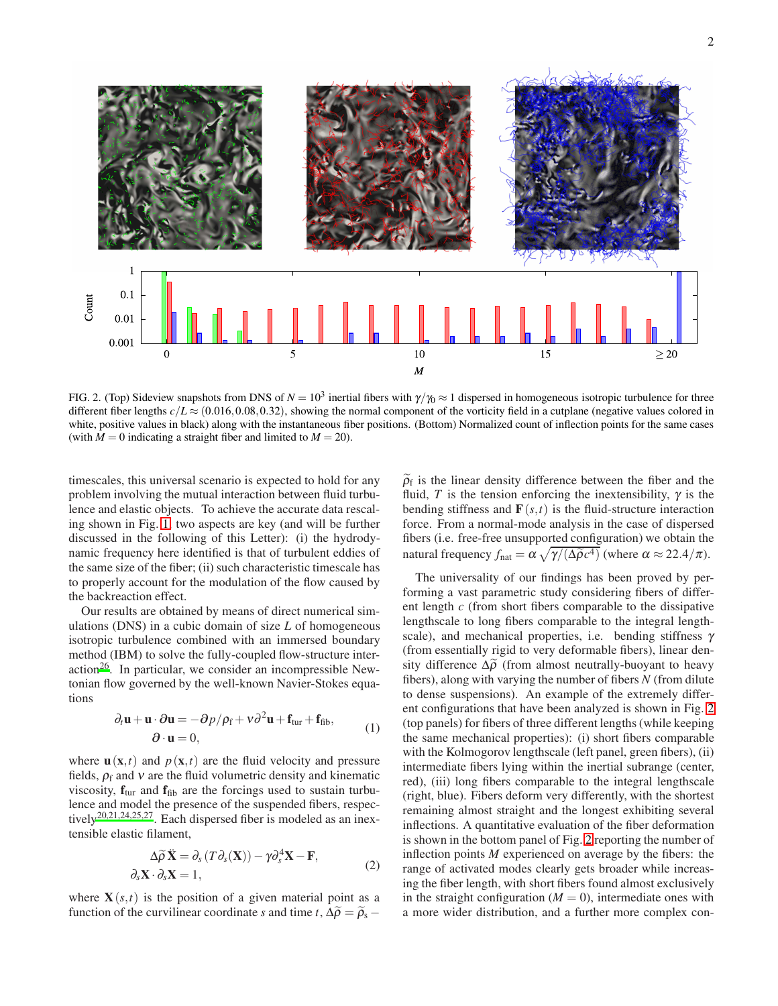

<span id="page-1-0"></span>FIG. 2. (Top) Sideview snapshots from DNS of  $N = 10^3$  inertial fibers with  $\gamma/\gamma_0 \approx 1$  dispersed in homogeneous isotropic turbulence for three different fiber lengths  $c/L \approx (0.016, 0.08, 0.32)$ , showing the normal component of the vorticity field in a cutplane (negative values colored in white, positive values in black) along with the instantaneous fiber positions. (Bottom) Normalized count of inflection points for the same cases (with  $M = 0$  indicating a straight fiber and limited to  $M = 20$ ).

timescales, this universal scenario is expected to hold for any problem involving the mutual interaction between fluid turbulence and elastic objects. To achieve the accurate data rescaling shown in Fig. [1,](#page-0-0) two aspects are key (and will be further discussed in the following of this Letter): (i) the hydrodynamic frequency here identified is that of turbulent eddies of the same size of the fiber; (ii) such characteristic timescale has to properly account for the modulation of the flow caused by the backreaction effect.

Our results are obtained by means of direct numerical simulations (DNS) in a cubic domain of size *L* of homogeneous isotropic turbulence combined with an immersed boundary method (IBM) to solve the fully-coupled flow-structure inter-action<sup>[26](#page-4-12)</sup>. In particular, we consider an incompressible Newtonian flow governed by the well-known Navier-Stokes equations

$$
\partial_t \mathbf{u} + \mathbf{u} \cdot \partial \mathbf{u} = -\partial p / \rho_f + v \partial^2 \mathbf{u} + \mathbf{f}_{\text{tur}} + \mathbf{f}_{\text{fib}},
$$
  
\n
$$
\partial \cdot \mathbf{u} = 0,
$$
 (1)

where  $\mathbf{u}(\mathbf{x},t)$  and  $p(\mathbf{x},t)$  are the fluid velocity and pressure fields,  $\rho_f$  and  $v$  are the fluid volumetric density and kinematic viscosity,  $f_{\text{tur}}$  and  $f_{\text{fib}}$  are the forcings used to sustain turbulence and model the presence of the suspended fibers, respectively[20](#page-4-8)[,21](#page-4-9)[,24](#page-4-10)[,25](#page-4-11)[,27](#page-4-13). Each dispersed fiber is modeled as an inextensible elastic filament,

$$
\Delta \widetilde{\rho} \widetilde{\mathbf{X}} = \partial_s (T \partial_s (\mathbf{X})) - \gamma \partial_s^4 \mathbf{X} - \mathbf{F},
$$
  
\n
$$
\partial_s \mathbf{X} \cdot \partial_s \mathbf{X} = 1,
$$
\n(2)

where  $X(s,t)$  is the position of a given material point as a function of the curvilinear coordinate *s* and time *t*,  $\Delta \widetilde{\rho} = \widetilde{\rho}_s -$ 

 $\widetilde{\rho}_f$  is the linear density difference between the fiber and the fluid, *T* is the tension enforcing the inextensibility,  $\gamma$  is the bending stiffness and  $\mathbf{F}(s,t)$  is the fluid-structure interaction force. From a normal-mode analysis in the case of dispersed fibers (i.e. free-free unsupported configuration) we obtain the natural frequency  $f_{\text{nat}} = \alpha \sqrt{\gamma/(\Delta \widetilde{\rho} c^4)}$  (where  $\alpha \approx 22.4/\pi$ ).

The universality of our findings has been proved by performing a vast parametric study considering fibers of different length *c* (from short fibers comparable to the dissipative lengthscale to long fibers comparable to the integral lengthscale), and mechanical properties, i.e. bending stiffness  $\gamma$ (from essentially rigid to very deformable fibers), linear density difference  $\Delta \widetilde{\rho}$  (from almost neutrally-buoyant to heavy fibers), along with varying the number of fibers *N* (from dilute to dense suspensions). An example of the extremely different configurations that have been analyzed is shown in Fig. [2](#page-1-0) (top panels) for fibers of three different lengths (while keeping the same mechanical properties): (i) short fibers comparable with the Kolmogorov lengthscale (left panel, green fibers), (ii) intermediate fibers lying within the inertial subrange (center, red), (iii) long fibers comparable to the integral lengthscale (right, blue). Fibers deform very differently, with the shortest remaining almost straight and the longest exhibiting several inflections. A quantitative evaluation of the fiber deformation is shown in the bottom panel of Fig. [2](#page-1-0) reporting the number of inflection points *M* experienced on average by the fibers: the range of activated modes clearly gets broader while increasing the fiber length, with short fibers found almost exclusively in the straight configuration  $(M = 0)$ , intermediate ones with a more wider distribution, and a further more complex con-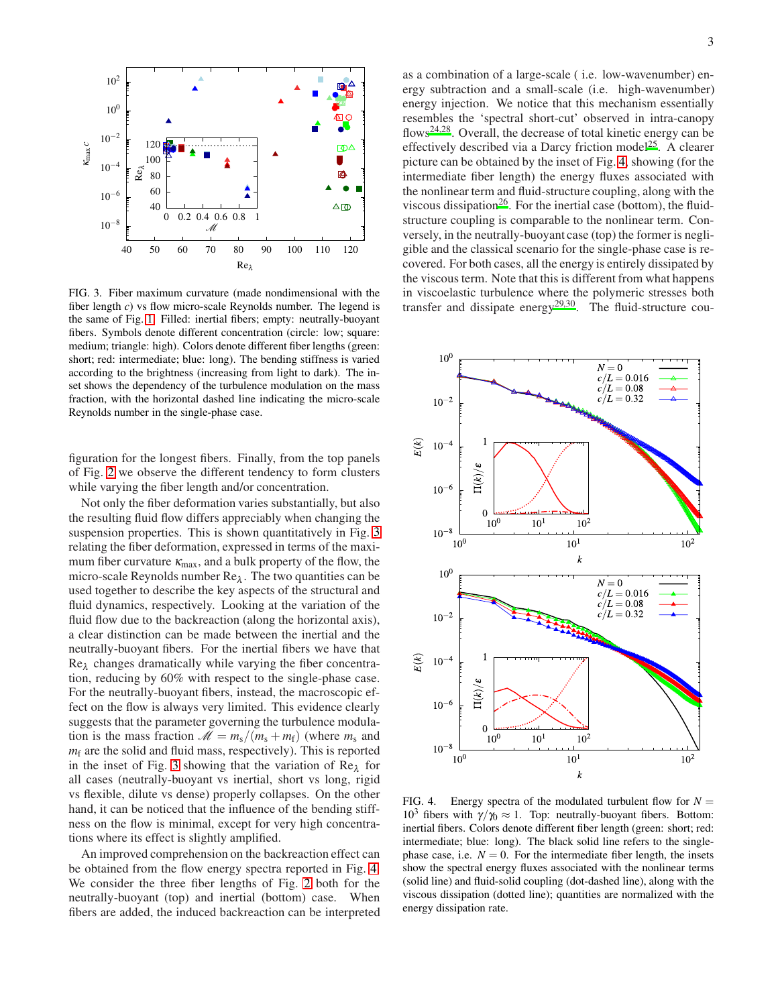

<span id="page-2-0"></span>FIG. 3. Fiber maximum curvature (made nondimensional with the fiber length *c*) vs flow micro-scale Reynolds number. The legend is the same of Fig. [1.](#page-0-0) Filled: inertial fibers; empty: neutrally-buoyant fibers. Symbols denote different concentration (circle: low; square: medium; triangle: high). Colors denote different fiber lengths (green: short; red: intermediate; blue: long). The bending stiffness is varied according to the brightness (increasing from light to dark). The inset shows the dependency of the turbulence modulation on the mass fraction, with the horizontal dashed line indicating the micro-scale Reynolds number in the single-phase case.

figuration for the longest fibers. Finally, from the top panels of Fig. [2](#page-1-0) we observe the different tendency to form clusters while varying the fiber length and/or concentration.

Not only the fiber deformation varies substantially, but also the resulting fluid flow differs appreciably when changing the suspension properties. This is shown quantitatively in Fig. [3](#page-2-0) relating the fiber deformation, expressed in terms of the maximum fiber curvature  $\kappa_{\text{max}}$ , and a bulk property of the flow, the micro-scale Reynolds number  $\text{Re}_{\lambda}$ . The two quantities can be used together to describe the key aspects of the structural and fluid dynamics, respectively. Looking at the variation of the fluid flow due to the backreaction (along the horizontal axis), a clear distinction can be made between the inertial and the neutrally-buoyant fibers. For the inertial fibers we have that  $Re_{\lambda}$  changes dramatically while varying the fiber concentration, reducing by 60% with respect to the single-phase case. For the neutrally-buoyant fibers, instead, the macroscopic effect on the flow is always very limited. This evidence clearly suggests that the parameter governing the turbulence modulation is the mass fraction  $M = m_s/(m_s + m_f)$  (where  $m_s$  and  $m<sub>f</sub>$  are the solid and fluid mass, respectively). This is reported in the inset of Fig. [3](#page-2-0) showing that the variation of  $Re_{\lambda}$  for all cases (neutrally-buoyant vs inertial, short vs long, rigid vs flexible, dilute vs dense) properly collapses. On the other hand, it can be noticed that the influence of the bending stiffness on the flow is minimal, except for very high concentrations where its effect is slightly amplified.

An improved comprehension on the backreaction effect can be obtained from the flow energy spectra reported in Fig. [4.](#page-2-1) We consider the three fiber lengths of Fig. [2](#page-1-0) both for the neutrally-buoyant (top) and inertial (bottom) case. When fibers are added, the induced backreaction can be interpreted as a combination of a large-scale ( i.e. low-wavenumber) energy subtraction and a small-scale (i.e. high-wavenumber) energy injection. We notice that this mechanism essentially resembles the 'spectral short-cut' observed in intra-canopy flows<sup>[24](#page-4-10)[,28](#page-4-14)</sup>. Overall, the decrease of total kinetic energy can be effectively described via a Darcy friction model<sup>[25](#page-4-11)</sup>. A clearer picture can be obtained by the inset of Fig. [4,](#page-2-1) showing (for the intermediate fiber length) the energy fluxes associated with the nonlinear term and fluid-structure coupling, along with the viscous dissipation<sup>[26](#page-4-12)</sup>. For the inertial case (bottom), the fluidstructure coupling is comparable to the nonlinear term. Conversely, in the neutrally-buoyant case (top) the former is negligible and the classical scenario for the single-phase case is recovered. For both cases, all the energy is entirely dissipated by the viscous term. Note that this is different from what happens in viscoelastic turbulence where the polymeric stresses both transfer and dissipate energy<sup>[29](#page-4-15)[,30](#page-4-16)</sup>. The fluid-structure cou-



<span id="page-2-1"></span>FIG. 4. Energy spectra of the modulated turbulent flow for  $N =$ 10<sup>3</sup> fibers with  $\gamma/\gamma_0 \approx 1$ . Top: neutrally-buoyant fibers. Bottom: inertial fibers. Colors denote different fiber length (green: short; red: intermediate; blue: long). The black solid line refers to the singlephase case, i.e.  $N = 0$ . For the intermediate fiber length, the insets show the spectral energy fluxes associated with the nonlinear terms (solid line) and fluid-solid coupling (dot-dashed line), along with the viscous dissipation (dotted line); quantities are normalized with the energy dissipation rate.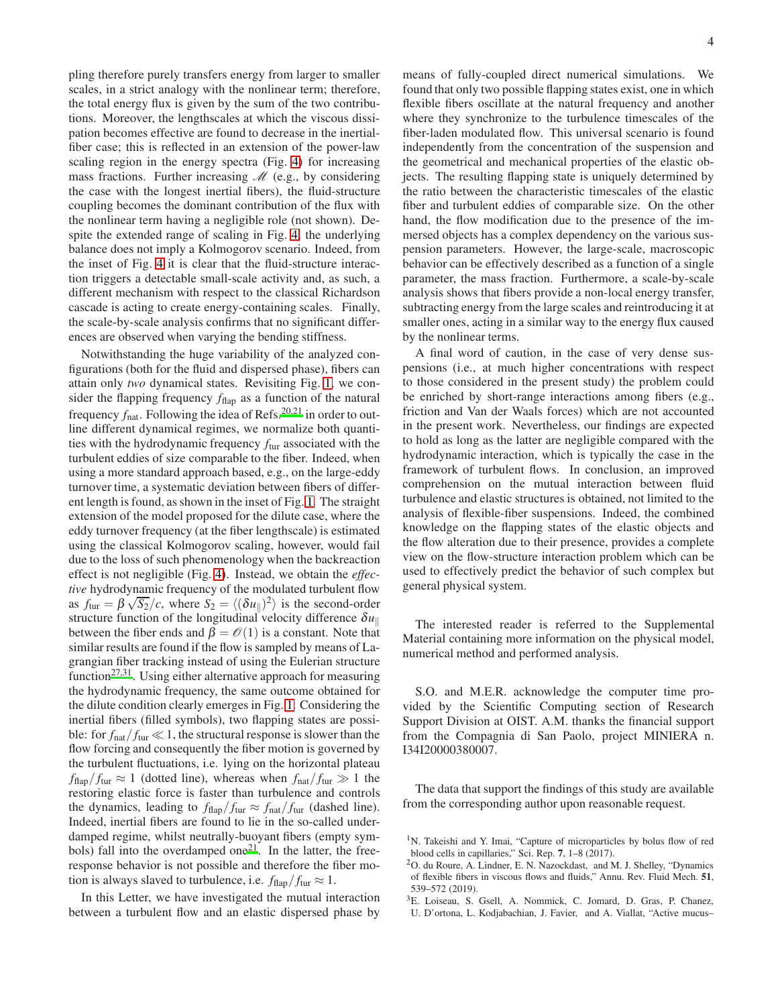pling therefore purely transfers energy from larger to smaller scales, in a strict analogy with the nonlinear term; therefore, the total energy flux is given by the sum of the two contributions. Moreover, the lengthscales at which the viscous dissipation becomes effective are found to decrease in the inertialfiber case; this is reflected in an extension of the power-law scaling region in the energy spectra (Fig. [4\)](#page-2-1) for increasing mass fractions. Further increasing  $\mathcal{M}$  (e.g., by considering the case with the longest inertial fibers), the fluid-structure coupling becomes the dominant contribution of the flux with the nonlinear term having a negligible role (not shown). Despite the extended range of scaling in Fig. [4,](#page-2-1) the underlying balance does not imply a Kolmogorov scenario. Indeed, from the inset of Fig. [4](#page-2-1) it is clear that the fluid-structure interaction triggers a detectable small-scale activity and, as such, a different mechanism with respect to the classical Richardson cascade is acting to create energy-containing scales. Finally, the scale-by-scale analysis confirms that no significant differences are observed when varying the bending stiffness.

Notwithstanding the huge variability of the analyzed configurations (both for the fluid and dispersed phase), fibers can attain only *two* dynamical states. Revisiting Fig. [1,](#page-0-0) we consider the flapping frequency  $f_{\text{flap}}$  as a function of the natural frequency  $f_{\text{nat}}$ . Following the idea of Refs.<sup>[20](#page-4-8)[,21](#page-4-9)</sup> in order to outline different dynamical regimes, we normalize both quantities with the hydrodynamic frequency  $f_{\text{tur}}$  associated with the turbulent eddies of size comparable to the fiber. Indeed, when using a more standard approach based, e.g., on the large-eddy turnover time, a systematic deviation between fibers of different length is found, as shown in the inset of Fig. [1.](#page-0-0) The straight extension of the model proposed for the dilute case, where the eddy turnover frequency (at the fiber lengthscale) is estimated using the classical Kolmogorov scaling, however, would fail due to the loss of such phenomenology when the backreaction effect is not negligible (Fig. [4\)](#page-2-1). Instead, we obtain the *effective* hydrodynamic frequency of the modulated turbulent flow as  $f_{\text{tur}} = \beta \sqrt{S_2}/c$ , where  $S_2 = \langle (\delta u_{\parallel})^2 \rangle$  is the second-order structure function of the longitudinal velocity difference  $\delta u_{\parallel}$ between the fiber ends and  $\beta = \mathcal{O}(1)$  is a constant. Note that similar results are found if the flow is sampled by means of Lagrangian fiber tracking instead of using the Eulerian structure function<sup>[27](#page-4-13)[,31](#page-4-17)</sup>. Using either alternative approach for measuring the hydrodynamic frequency, the same outcome obtained for the dilute condition clearly emerges in Fig. [1.](#page-0-0) Considering the inertial fibers (filled symbols), two flapping states are possible: for  $f_{\text{nat}}/f_{\text{tur}} \ll 1$ , the structural response is slower than the flow forcing and consequently the fiber motion is governed by the turbulent fluctuations, i.e. lying on the horizontal plateau  $f_{\text{flap}}/f_{\text{tur}} \approx 1$  (dotted line), whereas when  $f_{\text{nat}}/f_{\text{tur}} \gg 1$  the restoring elastic force is faster than turbulence and controls the dynamics, leading to  $f_{\text{flap}}/f_{\text{tur}} \approx f_{\text{nat}}/f_{\text{tur}}$  (dashed line). Indeed, inertial fibers are found to lie in the so-called underdamped regime, whilst neutrally-buoyant fibers (empty sym-bols) fall into the overdamped one<sup>[21](#page-4-9)</sup>. In the latter, the freeresponse behavior is not possible and therefore the fiber motion is always slaved to turbulence, i.e.  $f_{\text{flap}}/f_{\text{tur}} \approx 1$ .

In this Letter, we have investigated the mutual interaction between a turbulent flow and an elastic dispersed phase by means of fully-coupled direct numerical simulations. We found that only two possible flapping states exist, one in which flexible fibers oscillate at the natural frequency and another where they synchronize to the turbulence timescales of the fiber-laden modulated flow. This universal scenario is found independently from the concentration of the suspension and the geometrical and mechanical properties of the elastic objects. The resulting flapping state is uniquely determined by the ratio between the characteristic timescales of the elastic fiber and turbulent eddies of comparable size. On the other hand, the flow modification due to the presence of the immersed objects has a complex dependency on the various suspension parameters. However, the large-scale, macroscopic behavior can be effectively described as a function of a single parameter, the mass fraction. Furthermore, a scale-by-scale analysis shows that fibers provide a non-local energy transfer, subtracting energy from the large scales and reintroducing it at smaller ones, acting in a similar way to the energy flux caused by the nonlinear terms.

A final word of caution, in the case of very dense suspensions (i.e., at much higher concentrations with respect to those considered in the present study) the problem could be enriched by short-range interactions among fibers (e.g., friction and Van der Waals forces) which are not accounted in the present work. Nevertheless, our findings are expected to hold as long as the latter are negligible compared with the hydrodynamic interaction, which is typically the case in the framework of turbulent flows. In conclusion, an improved comprehension on the mutual interaction between fluid turbulence and elastic structures is obtained, not limited to the analysis of flexible-fiber suspensions. Indeed, the combined knowledge on the flapping states of the elastic objects and the flow alteration due to their presence, provides a complete view on the flow-structure interaction problem which can be used to effectively predict the behavior of such complex but general physical system.

The interested reader is referred to the Supplemental Material containing more information on the physical model, numerical method and performed analysis.

S.O. and M.E.R. acknowledge the computer time provided by the Scientific Computing section of Research Support Division at OIST. A.M. thanks the financial support from the Compagnia di San Paolo, project MINIERA n. I34I20000380007.

The data that support the findings of this study are available from the corresponding author upon reasonable request.

- <sup>2</sup>O. du Roure, A. Lindner, E. N. Nazockdast, and M. J. Shelley, "Dynamics of flexible fibers in viscous flows and fluids," Annu. Rev. Fluid Mech. 51, 539–572 (2019).
- <span id="page-3-1"></span><sup>3</sup>E. Loiseau, S. Gsell, A. Nommick, C. Jomard, D. Gras, P. Chanez,
- U. D'ortona, L. Kodjabachian, J. Favier, and A. Viallat, "Active mucus–

<span id="page-3-0"></span><sup>&</sup>lt;sup>1</sup>N. Takeishi and Y. Imai, "Capture of microparticles by bolus flow of red blood cells in capillaries," Sci. Rep. 7, 1–8 (2017).